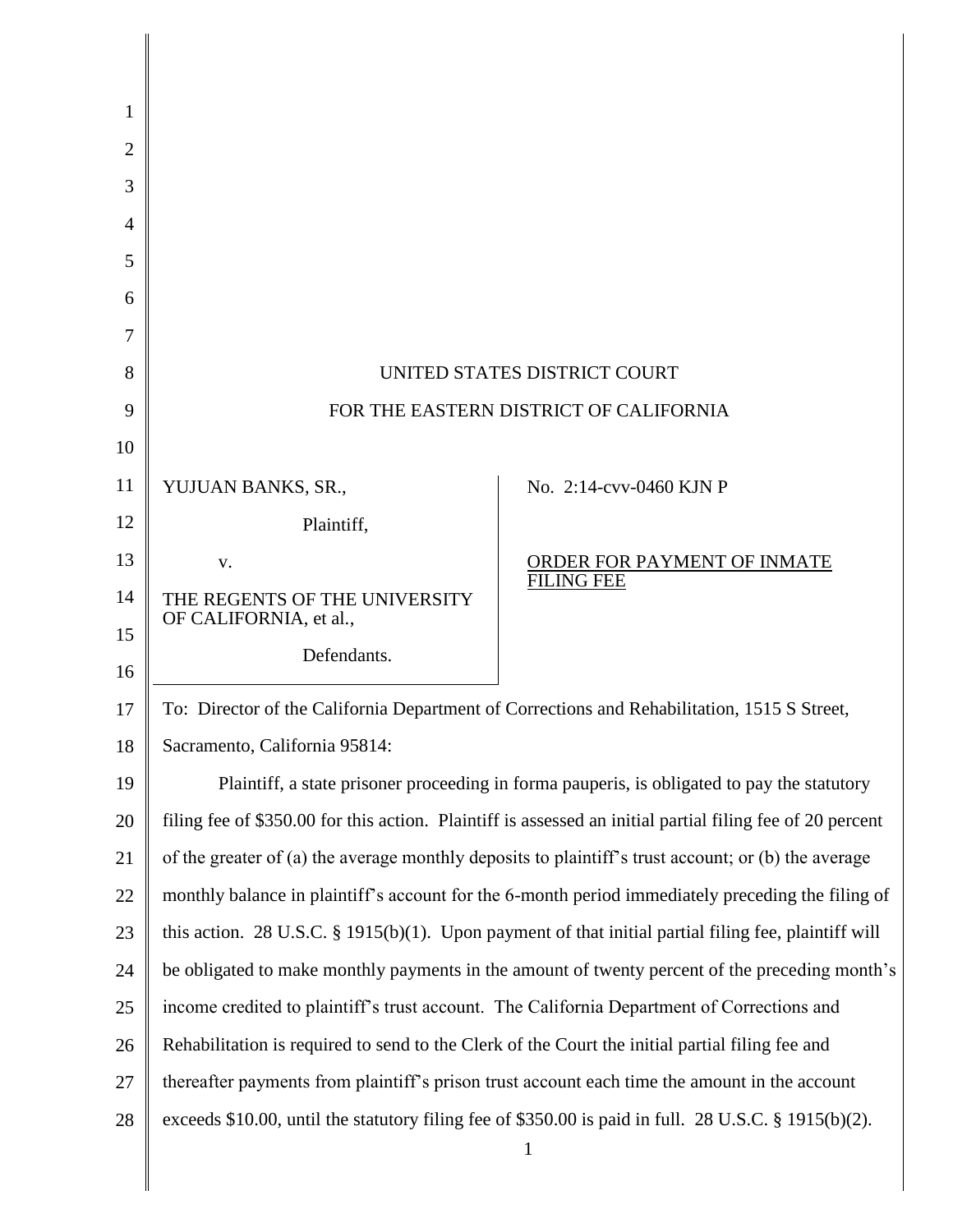| 1      |                                                                                                           |                             |
|--------|-----------------------------------------------------------------------------------------------------------|-----------------------------|
| 2      |                                                                                                           |                             |
| 3      |                                                                                                           |                             |
| 4<br>5 |                                                                                                           |                             |
| 6      |                                                                                                           |                             |
| 7      |                                                                                                           |                             |
| 8      | UNITED STATES DISTRICT COURT                                                                              |                             |
| 9      | FOR THE EASTERN DISTRICT OF CALIFORNIA                                                                    |                             |
| 10     |                                                                                                           |                             |
| 11     | YUJUAN BANKS, SR.,                                                                                        | No. 2:14-cvv-0460 KJN P     |
| 12     | Plaintiff,                                                                                                |                             |
| 13     | V.                                                                                                        | ORDER FOR PAYMENT OF INMATE |
| 14     | THE REGENTS OF THE UNIVERSITY                                                                             | <b>FILING FEE</b>           |
| 15     | OF CALIFORNIA, et al.,                                                                                    |                             |
| 16     | Defendants.                                                                                               |                             |
| 17     | To: Director of the California Department of Corrections and Rehabilitation, 1515 S Street,               |                             |
| 18     | Sacramento, California 95814:                                                                             |                             |
| 19     | Plaintiff, a state prisoner proceeding in forma pauperis, is obligated to pay the statutory               |                             |
| 20     | filing fee of \$350.00 for this action. Plaintiff is assessed an initial partial filing fee of 20 percent |                             |
| 21     | of the greater of (a) the average monthly deposits to plaintiff's trust account; or (b) the average       |                             |
| 22     | monthly balance in plaintiff's account for the 6-month period immediately preceding the filing of         |                             |
| 23     | this action. 28 U.S.C. $\S$ 1915(b)(1). Upon payment of that initial partial filing fee, plaintiff will   |                             |
| 24     | be obligated to make monthly payments in the amount of twenty percent of the preceding month's            |                             |
| 25     | income credited to plaintiff's trust account. The California Department of Corrections and                |                             |
| 26     | Rehabilitation is required to send to the Clerk of the Court the initial partial filing fee and           |                             |
| 27     | thereafter payments from plaintiff's prison trust account each time the amount in the account             |                             |
| 28     | exceeds \$10.00, until the statutory filing fee of \$350.00 is paid in full. 28 U.S.C. § 1915(b)(2).      |                             |
|        |                                                                                                           | 1                           |

I I